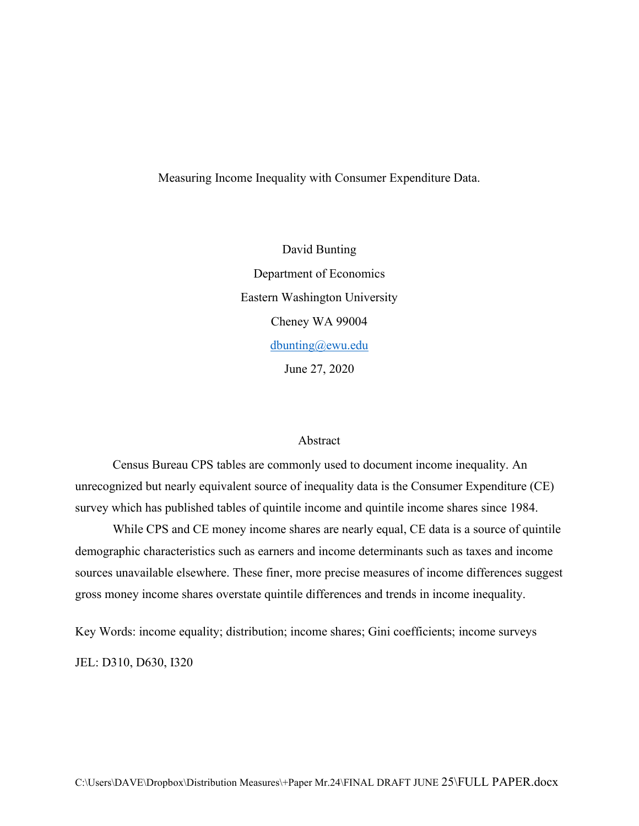# Measuring Income Inequality with Consumer Expenditure Data.

David Bunting Department of Economics Eastern Washington University Cheney WA 99004 [dbunting@ewu.edu](mailto:dbunting@ewu.edu) June 27, 2020

## Abstract

Census Bureau CPS tables are commonly used to document income inequality[.](https://www.census.gov/data/tables/time-series/demo/income-poverty/historical-income-households.html) An unrecognized but nearly equivalent source of inequality data is the Consumer Expenditure (CE) survey which has published tables of quintile income and quintile income shares since 1984.

While CPS and CE money income shares are nearly equal, CE data is a source of quintile demographic characteristics such as earners and income determinants such as taxes and income sources unavailable elsewhere. These finer, more precise measures of income differences suggest gross money income shares overstate quintile differences and trends in income inequality.

Key Words: income equality; distribution; income shares; Gini coefficients; income surveys

JEL: D310, D630, I320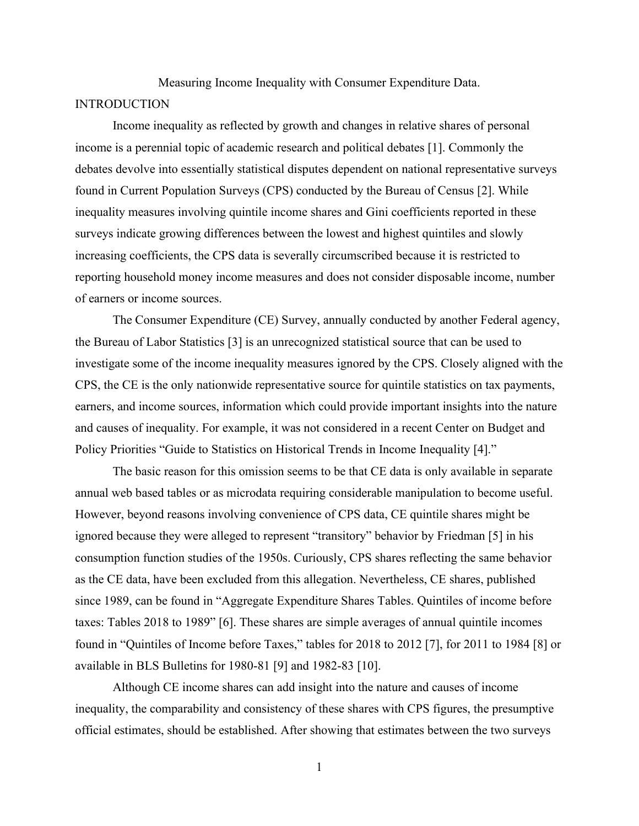Measuring Income Inequality with Consumer Expenditure Data.

### **INTRODUCTION**

Income inequality as reflected by growth and changes in relative shares of personal income is a perennial topic of academic research and political debates [1]. Commonly the debates devolve into essentially statistical disputes dependent on national representative surveys found in Current Population Surveys (CPS) conducted by the Bureau of Census [2]. While inequality measures involving quintile income shares and Gini coefficients reported in these surveys indicate growing differences between the lowest and highest quintiles and slowly increasing coefficients, the CPS data is severally circumscribed because it is restricted to reporting household money income measures and does not consider disposable income, number of earners or income sources.

The Consumer Expenditure (CE) Survey, annually conducted by another Federal agency, the Bureau of Labor Statistics [3] is an unrecognized statistical source that can be used to investigate some of the income inequality measures ignored by the CPS. Closely aligned with the CPS, the CE is the only nationwide representative source for quintile statistics on tax payments, earners, and income sources, information which could provide important insights into the nature and causes of inequality. For example, it was not considered in a recent Center on Budget and Policy Priorities "Guide to Statistics on Historical Trends in Income Inequality [4]."

The basic reason for this omission seems to be that CE data is only available in separate annual web based tables or as microdata requiring considerable manipulation to become useful. However, beyond reasons involving convenience of CPS data, CE quintile shares might be ignored because they were alleged to represent "transitory" behavior by Friedman [5] in his consumption function studies of the 1950s. Curiously, CPS shares reflecting the same behavior as the CE data, have been excluded from this allegation. Nevertheless, CE shares, published since 1989, can be found in "Aggregate Expenditure Shares Tables. Quintiles of income before taxes: Tables 2018 to 1989" [6]. These shares are simple averages of annual quintile incomes found in "Quintiles of Income before Taxes," tables for 2018 to 2012 [7], for 2011 to 1984 [8] or available in BLS Bulletins for 1980-81 [9] and 1982-83 [10].

Although CE income shares can add insight into the nature and causes of income inequality, the comparability and consistency of these shares with CPS figures, the presumptive official estimates, should be established. After showing that estimates between the two surveys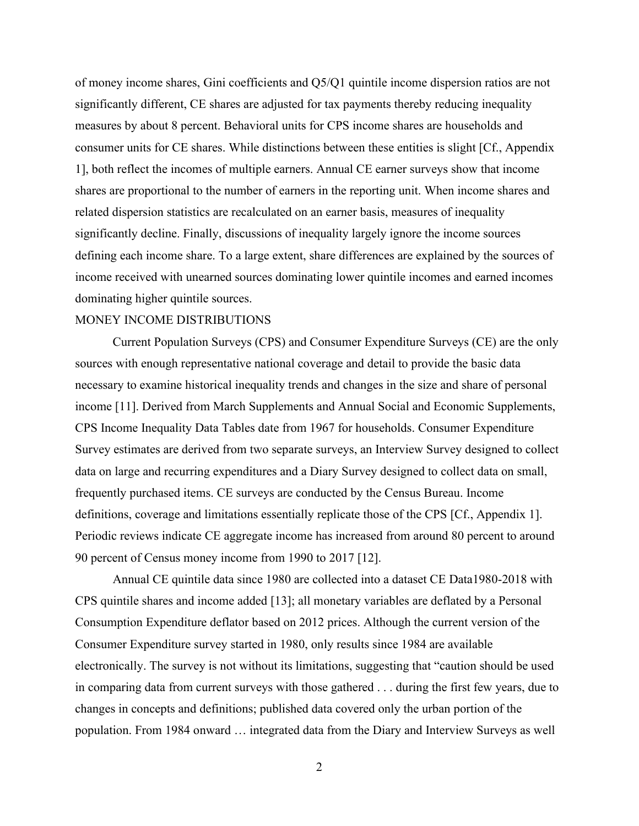of money income shares, Gini coefficients and Q5/Q1 quintile income dispersion ratios are not significantly different, CE shares are adjusted for tax payments thereby reducing inequality measures by about 8 percent. Behavioral units for CPS income shares are households and consumer units for CE shares. While distinctions between these entities is slight [Cf., Appendix 1], both reflect the incomes of multiple earners. Annual CE earner surveys show that income shares are proportional to the number of earners in the reporting unit. When income shares and related dispersion statistics are recalculated on an earner basis, measures of inequality significantly decline. Finally, discussions of inequality largely ignore the income sources defining each income share. To a large extent, share differences are explained by the sources of income received with unearned sources dominating lower quintile incomes and earned incomes dominating higher quintile sources.

#### MONEY INCOME DISTRIBUTIONS

Current Population Surveys (CPS) and Consumer Expenditure Surveys (CE) are the only sources with enough representative national coverage and detail to provide the basic data necessary to examine historical inequality trends and changes in the size and share of personal income [11]. Derived from March Supplements and Annual Social and Economic Supplements, CPS Income Inequality Data Tables date from 1967 for households. Consumer Expenditure Survey estimates are derived from two separate surveys, an Interview Survey designed to collect data on large and recurring expenditures and a Diary Survey designed to collect data on small, frequently purchased items. CE surveys are conducted by the Census Bureau. Income definitions, coverage and limitations essentially replicate those of the CPS [Cf., Appendix 1]. Periodic reviews indicate CE aggregate income has increased from around 80 percent to around 90 percent of Census money income from 1990 to 2017 [12].

Annual CE quintile data since 1980 are collected into a dataset CE Data1980-2018 with CPS quintile shares and income added [13]; all monetary variables are deflated by a Personal Consumption Expenditure deflator based on 2012 prices. Although the current version of the Consumer Expenditure survey started in 1980, only results since 1984 are available electronically. The survey is not without its limitations, suggesting that "caution should be used in comparing data from current surveys with those gathered . . . during the first few years, due to changes in concepts and definitions; published data covered only the urban portion of the population. From 1984 onward … integrated data from the Diary and Interview Surveys as well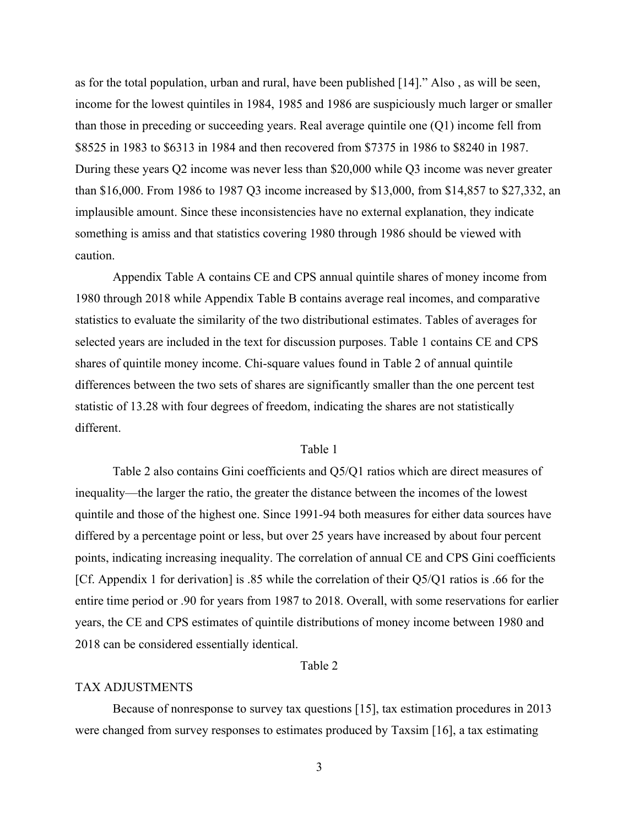as for the total population, urban and rural, have been published [14]." Also , as will be seen, income for the lowest quintiles in 1984, 1985 and 1986 are suspiciously much larger or smaller than those in preceding or succeeding years. Real average quintile one (Q1) income fell from \$8525 in 1983 to \$6313 in 1984 and then recovered from \$7375 in 1986 to \$8240 in 1987. During these years Q2 income was never less than \$20,000 while Q3 income was never greater than \$16,000. From 1986 to 1987 Q3 income increased by \$13,000, from \$14,857 to \$27,332, an implausible amount. Since these inconsistencies have no external explanation, they indicate something is amiss and that statistics covering 1980 through 1986 should be viewed with caution.

Appendix Table A contains CE and CPS annual quintile shares of money income from 1980 through 2018 while Appendix Table B contains average real incomes, and comparative statistics to evaluate the similarity of the two distributional estimates. Tables of averages for selected years are included in the text for discussion purposes. Table 1 contains CE and CPS shares of quintile money income. Chi-square values found in Table 2 of annual quintile differences between the two sets of shares are significantly smaller than the one percent test statistic of 13.28 with four degrees of freedom, indicating the shares are not statistically different.

### Table 1

Table 2 also contains Gini coefficients and Q5/Q1 ratios which are direct measures of inequality—the larger the ratio, the greater the distance between the incomes of the lowest quintile and those of the highest one. Since 1991-94 both measures for either data sources have differed by a percentage point or less, but over 25 years have increased by about four percent points, indicating increasing inequality. The correlation of annual CE and CPS Gini coefficients [Cf. Appendix 1 for derivation] is .85 while the correlation of their Q5/Q1 ratios is .66 for the entire time period or .90 for years from 1987 to 2018. Overall, with some reservations for earlier years, the CE and CPS estimates of quintile distributions of money income between 1980 and 2018 can be considered essentially identical.

# Table 2

#### TAX ADJUSTMENTS

Because of nonresponse to survey tax questions [15], tax estimation procedures in 2013 were changed from survey responses to estimates produced by Taxsim [16], a tax estimating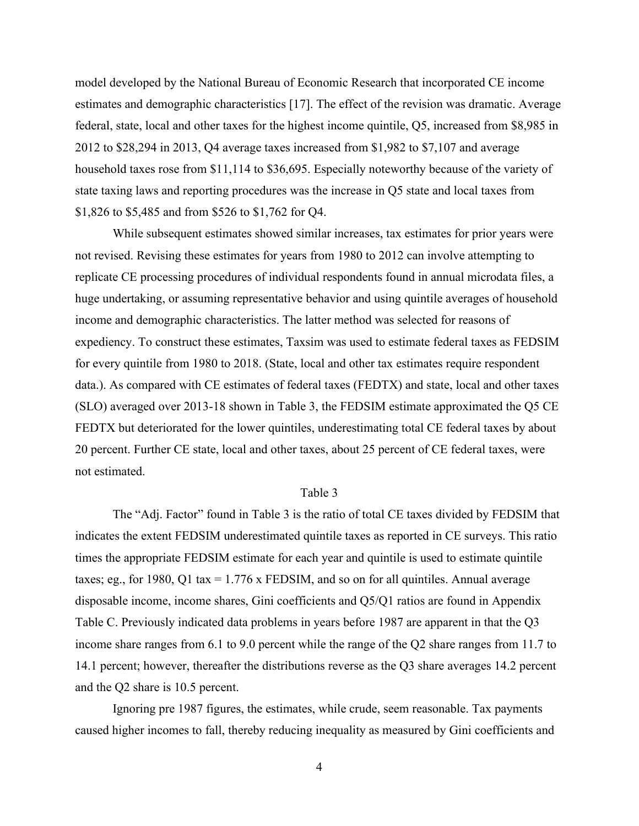model developed by the National Bureau of Economic Research that incorporated CE income estimates and demographic characteristics [17]. The effect of the revision was dramatic. Average federal, state, local and other taxes for the highest income quintile, Q5, increased from \$8,985 in 2012 to \$28,294 in 2013, Q4 average taxes increased from \$1,982 to \$7,107 and average household taxes rose from \$11,114 to \$36,695. Especially noteworthy because of the variety of state taxing laws and reporting procedures was the increase in Q5 state and local taxes from \$1,826 to \$5,485 and from \$526 to \$1,762 for Q4.

While subsequent estimates showed similar increases, tax estimates for prior years were not revised. Revising these estimates for years from 1980 to 2012 can involve attempting to replicate CE processing procedures of individual respondents found in annual microdata files, a huge undertaking, or assuming representative behavior and using quintile averages of household income and demographic characteristics. The latter method was selected for reasons of expediency. To construct these estimates, Taxsim was used to estimate federal taxes as FEDSIM for every quintile from 1980 to 2018. (State, local and other tax estimates require respondent data.). As compared with CE estimates of federal taxes (FEDTX) and state, local and other taxes (SLO) averaged over 2013-18 shown in Table 3, the FEDSIM estimate approximated the Q5 CE FEDTX but deteriorated for the lower quintiles, underestimating total CE federal taxes by about 20 percent. Further CE state, local and other taxes, about 25 percent of CE federal taxes, were not estimated.

#### Table 3

The "Adj. Factor" found in Table 3 is the ratio of total CE taxes divided by FEDSIM that indicates the extent FEDSIM underestimated quintile taxes as reported in CE surveys. This ratio times the appropriate FEDSIM estimate for each year and quintile is used to estimate quintile taxes; eg., for 1980, Q1 tax =  $1.776$  x FEDSIM, and so on for all quintiles. Annual average disposable income, income shares, Gini coefficients and Q5/Q1 ratios are found in Appendix Table C. Previously indicated data problems in years before 1987 are apparent in that the Q3 income share ranges from 6.1 to 9.0 percent while the range of the Q2 share ranges from 11.7 to 14.1 percent; however, thereafter the distributions reverse as the Q3 share averages 14.2 percent and the Q2 share is 10.5 percent.

Ignoring pre 1987 figures, the estimates, while crude, seem reasonable. Tax payments caused higher incomes to fall, thereby reducing inequality as measured by Gini coefficients and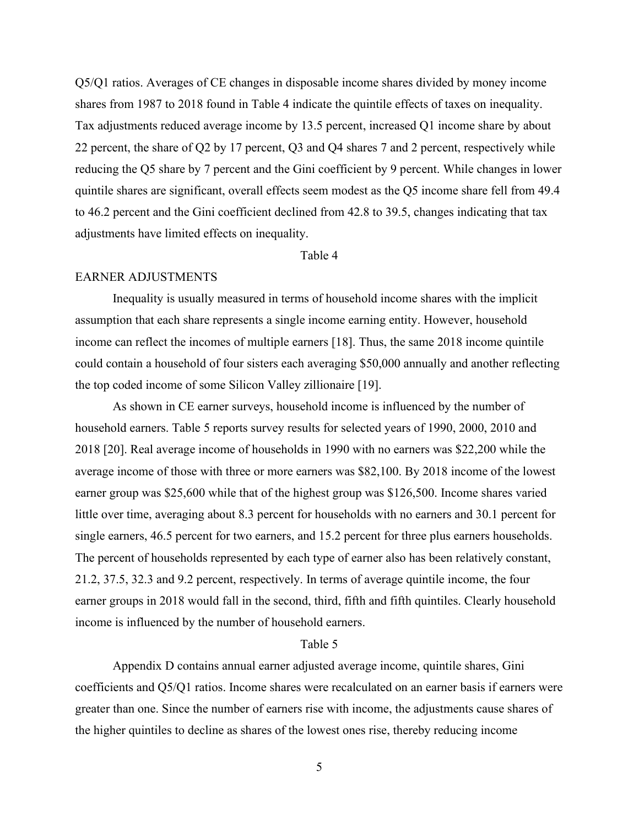Q5/Q1 ratios. Averages of CE changes in disposable income shares divided by money income shares from 1987 to 2018 found in Table 4 indicate the quintile effects of taxes on inequality. Tax adjustments reduced average income by 13.5 percent, increased Q1 income share by about 22 percent, the share of Q2 by 17 percent, Q3 and Q4 shares 7 and 2 percent, respectively while reducing the Q5 share by 7 percent and the Gini coefficient by 9 percent. While changes in lower quintile shares are significant, overall effects seem modest as the Q5 income share fell from 49.4 to 46.2 percent and the Gini coefficient declined from 42.8 to 39.5, changes indicating that tax adjustments have limited effects on inequality.

### Table 4

## EARNER ADJUSTMENTS

Inequality is usually measured in terms of household income shares with the implicit assumption that each share represents a single income earning entity. However, household income can reflect the incomes of multiple earners [18]. Thus, the same 2018 income quintile could contain a household of four sisters each averaging \$50,000 annually and another reflecting the top coded income of some Silicon Valley zillionaire [19].

As shown in CE earner surveys, household income is influenced by the number of household earners. Table 5 reports survey results for selected years of 1990, 2000, 2010 and 2018 [20]. Real average income of households in 1990 with no earners was \$22,200 while the average income of those with three or more earners was \$82,100. By 2018 income of the lowest earner group was \$25,600 while that of the highest group was \$126,500. Income shares varied little over time, averaging about 8.3 percent for households with no earners and 30.1 percent for single earners, 46.5 percent for two earners, and 15.2 percent for three plus earners households. The percent of households represented by each type of earner also has been relatively constant, 21.2, 37.5, 32.3 and 9.2 percent, respectively. In terms of average quintile income, the four earner groups in 2018 would fall in the second, third, fifth and fifth quintiles. Clearly household income is influenced by the number of household earners.

## Table 5

Appendix D contains annual earner adjusted average income, quintile shares, Gini coefficients and Q5/Q1 ratios. Income shares were recalculated on an earner basis if earners were greater than one. Since the number of earners rise with income, the adjustments cause shares of the higher quintiles to decline as shares of the lowest ones rise, thereby reducing income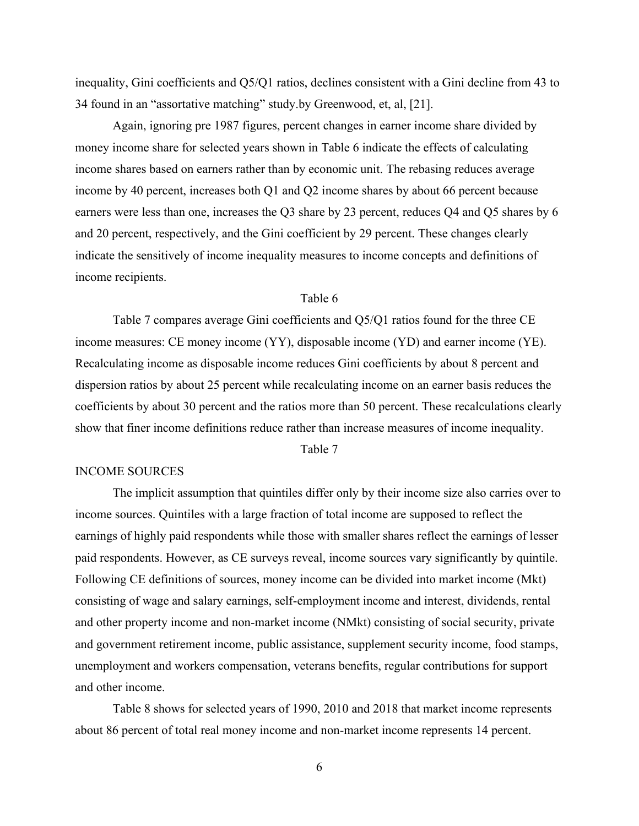inequality, Gini coefficients and Q5/Q1 ratios, declines consistent with a Gini decline from 43 to 34 found in an "assortative matching" study.by Greenwood, et, al, [21].

Again, ignoring pre 1987 figures, percent changes in earner income share divided by money income share for selected years shown in Table 6 indicate the effects of calculating income shares based on earners rather than by economic unit. The rebasing reduces average income by 40 percent, increases both Q1 and Q2 income shares by about 66 percent because earners were less than one, increases the Q3 share by 23 percent, reduces Q4 and Q5 shares by 6 and 20 percent, respectively, and the Gini coefficient by 29 percent. These changes clearly indicate the sensitively of income inequality measures to income concepts and definitions of income recipients.

# Table 6

Table 7 compares average Gini coefficients and Q5/Q1 ratios found for the three CE income measures: CE money income (YY), disposable income (YD) and earner income (YE). Recalculating income as disposable income reduces Gini coefficients by about 8 percent and dispersion ratios by about 25 percent while recalculating income on an earner basis reduces the coefficients by about 30 percent and the ratios more than 50 percent. These recalculations clearly show that finer income definitions reduce rather than increase measures of income inequality.

Table 7

### INCOME SOURCES

The implicit assumption that quintiles differ only by their income size also carries over to income sources. Quintiles with a large fraction of total income are supposed to reflect the earnings of highly paid respondents while those with smaller shares reflect the earnings of lesser paid respondents. However, as CE surveys reveal, income sources vary significantly by quintile. Following CE definitions of sources, money income can be divided into market income (Mkt) consisting of wage and salary earnings, self-employment income and interest, dividends, rental and other property income and non-market income (NMkt) consisting of social security, private and government retirement income, public assistance, supplement security income, food stamps, unemployment and workers compensation, veterans benefits, regular contributions for support and other income.

Table 8 shows for selected years of 1990, 2010 and 2018 that market income represents about 86 percent of total real money income and non-market income represents 14 percent.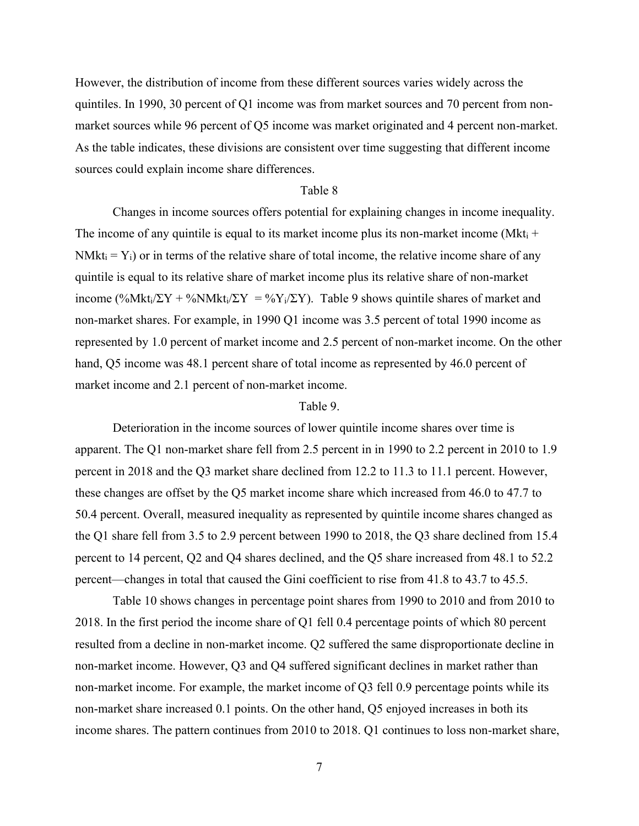However, the distribution of income from these different sources varies widely across the quintiles. In 1990, 30 percent of Q1 income was from market sources and 70 percent from nonmarket sources while 96 percent of Q5 income was market originated and 4 percent non-market. As the table indicates, these divisions are consistent over time suggesting that different income sources could explain income share differences.

### Table 8

Changes in income sources offers potential for explaining changes in income inequality. The income of any quintile is equal to its market income plus its non-market income (Mkt<sub>i</sub> +  $NMkt_i = Y_i$ ) or in terms of the relative share of total income, the relative income share of any quintile is equal to its relative share of market income plus its relative share of non-market income (%Mkt<sub>i</sub>/ΣY + %NMkt<sub>i</sub>/ΣY = %Y<sub>i</sub>/ΣY). Table 9 shows quintile shares of market and non-market shares. For example, in 1990 Q1 income was 3.5 percent of total 1990 income as represented by 1.0 percent of market income and 2.5 percent of non-market income. On the other hand, Q5 income was 48.1 percent share of total income as represented by 46.0 percent of market income and 2.1 percent of non-market income.

# Table 9.

Deterioration in the income sources of lower quintile income shares over time is apparent. The Q1 non-market share fell from 2.5 percent in in 1990 to 2.2 percent in 2010 to 1.9 percent in 2018 and the Q3 market share declined from 12.2 to 11.3 to 11.1 percent. However, these changes are offset by the Q5 market income share which increased from 46.0 to 47.7 to 50.4 percent. Overall, measured inequality as represented by quintile income shares changed as the Q1 share fell from 3.5 to 2.9 percent between 1990 to 2018, the Q3 share declined from 15.4 percent to 14 percent, Q2 and Q4 shares declined, and the Q5 share increased from 48.1 to 52.2 percent—changes in total that caused the Gini coefficient to rise from 41.8 to 43.7 to 45.5.

Table 10 shows changes in percentage point shares from 1990 to 2010 and from 2010 to 2018. In the first period the income share of Q1 fell 0.4 percentage points of which 80 percent resulted from a decline in non-market income. Q2 suffered the same disproportionate decline in non-market income. However, Q3 and Q4 suffered significant declines in market rather than non-market income. For example, the market income of Q3 fell 0.9 percentage points while its non-market share increased 0.1 points. On the other hand, Q5 enjoyed increases in both its income shares. The pattern continues from 2010 to 2018. Q1 continues to loss non-market share,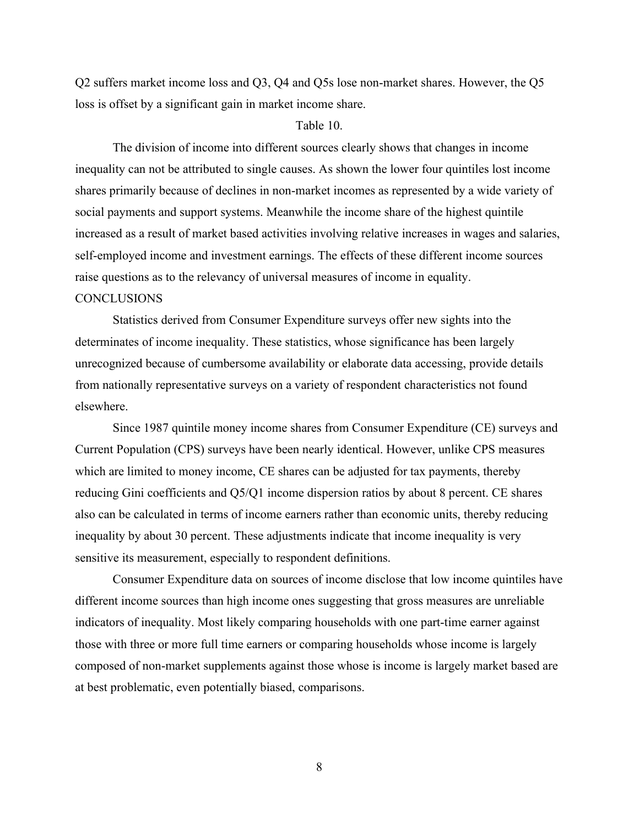Q2 suffers market income loss and Q3, Q4 and Q5s lose non-market shares. However, the Q5 loss is offset by a significant gain in market income share.

## Table 10.

The division of income into different sources clearly shows that changes in income inequality can not be attributed to single causes. As shown the lower four quintiles lost income shares primarily because of declines in non-market incomes as represented by a wide variety of social payments and support systems. Meanwhile the income share of the highest quintile increased as a result of market based activities involving relative increases in wages and salaries, self-employed income and investment earnings. The effects of these different income sources raise questions as to the relevancy of universal measures of income in equality.

# **CONCLUSIONS**

Statistics derived from Consumer Expenditure surveys offer new sights into the determinates of income inequality. These statistics, whose significance has been largely unrecognized because of cumbersome availability or elaborate data accessing, provide details from nationally representative surveys on a variety of respondent characteristics not found elsewhere.

Since 1987 quintile money income shares from Consumer Expenditure (CE) surveys and Current Population (CPS) surveys have been nearly identical. However, unlike CPS measures which are limited to money income, CE shares can be adjusted for tax payments, thereby reducing Gini coefficients and Q5/Q1 income dispersion ratios by about 8 percent. CE shares also can be calculated in terms of income earners rather than economic units, thereby reducing inequality by about 30 percent. These adjustments indicate that income inequality is very sensitive its measurement, especially to respondent definitions.

Consumer Expenditure data on sources of income disclose that low income quintiles have different income sources than high income ones suggesting that gross measures are unreliable indicators of inequality. Most likely comparing households with one part-time earner against those with three or more full time earners or comparing households whose income is largely composed of non-market supplements against those whose is income is largely market based are at best problematic, even potentially biased, comparisons.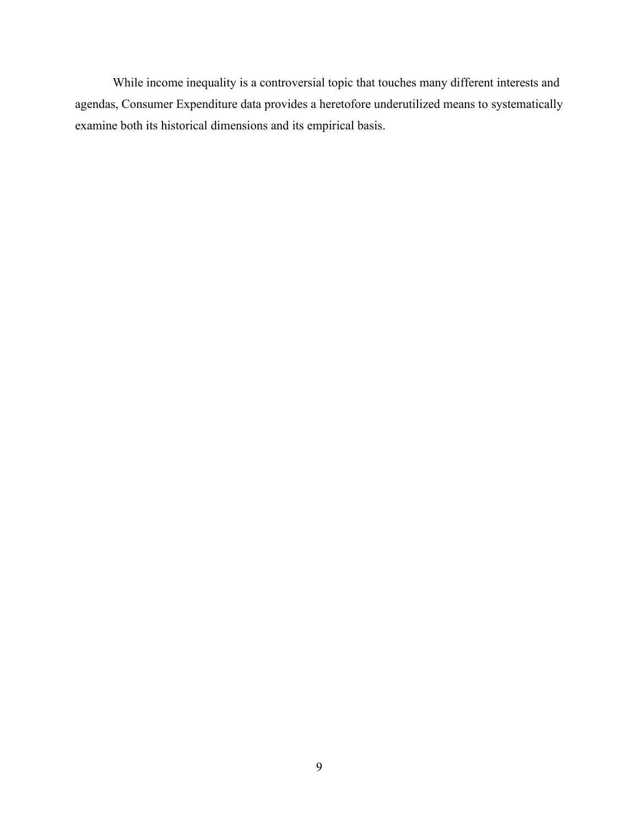While income inequality is a controversial topic that touches many different interests and agendas, Consumer Expenditure data provides a heretofore underutilized means to systematically examine both its historical dimensions and its empirical basis.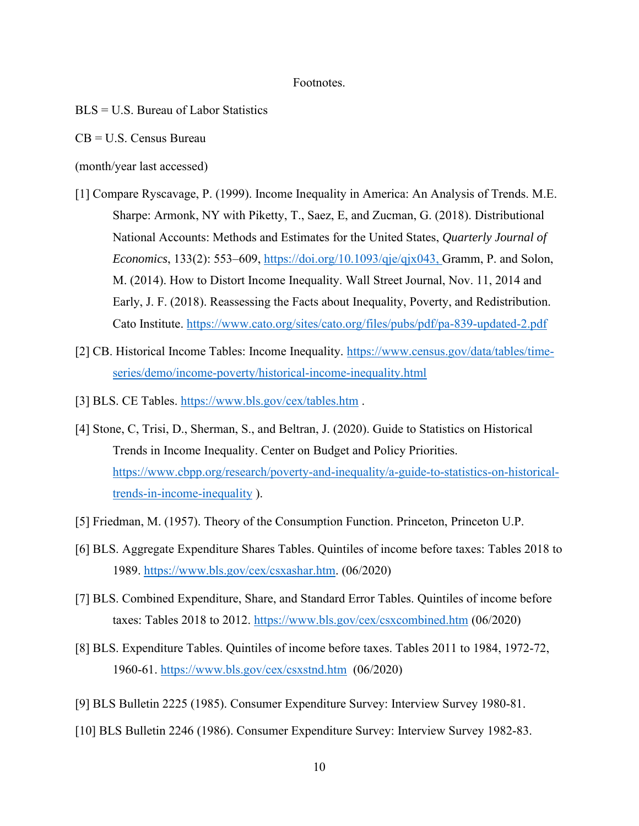### Footnotes.

- BLS = U.S. Bureau of Labor Statistics
- CB = U.S. Census Bureau
- (month/year last accessed)
- [1] Compare Ryscavage, P. (1999). Income Inequality in America: An Analysis of Trends. M.E. Sharpe: Armonk, NY with Piketty, T., Saez, E, and Zucman, G. (2018). Distributional National Accounts: Methods and Estimates for the United States, *Quarterly Journal of Economics*, 133(2): 553–609, [https://doi.org/10.1093/qje/qjx043,](https://doi.org/10.1093/qje/qjx043) Gramm, P. and Solon, M. (2014). How to Distort Income Inequality. Wall Street Journal, Nov. 11, 2014 and Early, J. F. (2018). Reassessing the Facts about Inequality, Poverty, and Redistribution. Cato Institute.<https://www.cato.org/sites/cato.org/files/pubs/pdf/pa-839-updated-2.pdf>
- [2] CB. Historical Income Tables: Income Inequality. [https://www.census.gov/data/tables/time](https://www.census.gov/data/tables/time-series/demo/income-poverty/historical-income-inequality.html)[series/demo/income-poverty/historical-income-inequality.html](https://www.census.gov/data/tables/time-series/demo/income-poverty/historical-income-inequality.html)
- [3] BLS. CE Tables.<https://www.bls.gov/cex/tables.htm>.
- [4] Stone, C, Trisi, D., Sherman, S., and Beltran, J. (2020). Guide to Statistics on Historical Trends in Income Inequality. Center on Budget and Policy Priorities. [https://www.cbpp.org/research/poverty-and-inequality/a-guide-to-statistics-on-historical](https://www.cbpp.org/research/poverty-and-inequality/a-guide-to-statistics-on-historical-trends-in-income-inequality)[trends-in-income-inequality](https://www.cbpp.org/research/poverty-and-inequality/a-guide-to-statistics-on-historical-trends-in-income-inequality) ).
- [5] Friedman, M. (1957). Theory of the Consumption Function. Princeton, Princeton U.P.
- [6] BLS. Aggregate Expenditure Shares Tables. Quintiles of income before taxes: Tables 2018 to 1989. [https://www.bls.gov/cex/csxashar.htm.](https://www.bls.gov/cex/csxashar.htm#2018) (06/2020)
- [7] BLS. Combined Expenditure, Share, and Standard Error Tables. Quintiles of income before taxes: Tables 2018 to 2012.<https://www.bls.gov/cex/csxcombined.htm> (06/2020)
- [8] BLS. Expenditure Tables. Quintiles of income before taxes. Tables 2011 to 1984, 1972-72, 1960-61.<https://www.bls.gov/cex/csxstnd.htm>(06/2020)
- [9] BLS Bulletin 2225 (1985). Consumer Expenditure Survey: Interview Survey 1980-81.
- [10] BLS Bulletin 2246 (1986). Consumer Expenditure Survey: Interview Survey 1982-83.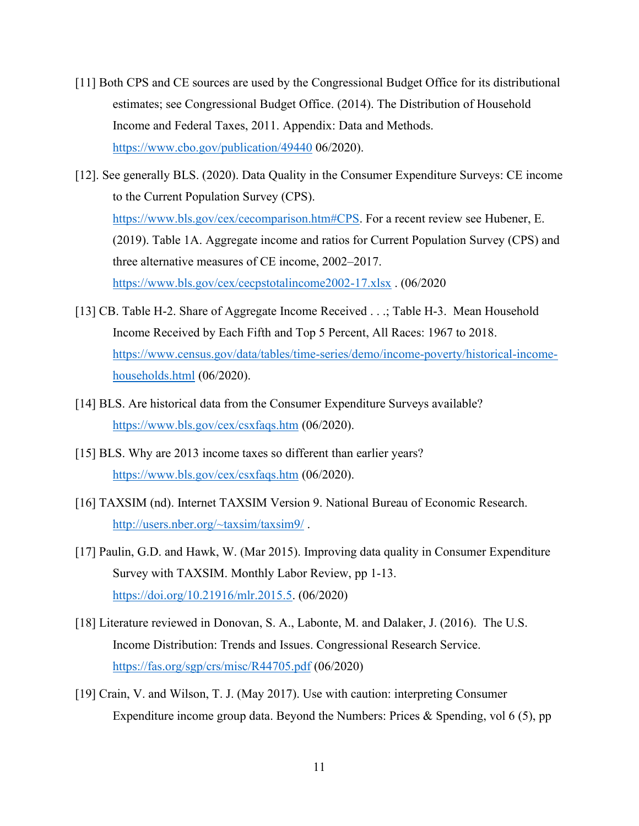- [11] Both CPS and CE sources are used by the Congressional Budget Office for its distributional estimates; see Congressional Budget Office. (2014). The Distribution of Household Income and Federal Taxes, 2011. Appendix: Data and Methods. <https://www.cbo.gov/publication/49440> 06/2020).
- [12]. See generally BLS. (2020). Data Quality in the Consumer Expenditure Surveys: CE income to the Current Population Survey (CPS). [https://www.bls.gov/cex/cecomparison.htm#CPS.](https://www.bls.gov/cex/cecomparison.htm#CPS) For a recent review see Hubener, E. (2019). Table 1A. Aggregate income and ratios for Current Population Survey (CPS) and three alternative measures of CE income, 2002–2017. <https://www.bls.gov/cex/cecpstotalincome2002-17.xlsx> . (06/2020
- [13] CB. Table H-2. Share of Aggregate Income Received . . .; Table H-3. Mean Household Income Received by Each Fifth and Top 5 Percent, All Races: 1967 to 2018. [https://www.census.gov/data/tables/time-series/demo/income-poverty/historical-income](https://www.census.gov/data/tables/time-series/demo/income-poverty/historical-income-households.html)[households.html](https://www.census.gov/data/tables/time-series/demo/income-poverty/historical-income-households.html) (06/2020).
- [14] BLS. [Are historical data from the Consumer Expenditure Surveys available?](https://www.bls.gov/cex/csxfaqs.htm) <https://www.bls.gov/cex/csxfaqs.htm> (06/2020).
- [15] BLS. [Why are 2013 income taxes so different than earlier years?](https://www.bls.gov/cex/csxfaqs.htm) <https://www.bls.gov/cex/csxfaqs.htm> (06/2020).
- [16] TAXSIM (nd). Internet TAXSIM Version 9. National Bureau of Economic Research. <http://users.nber.org/~taxsim/taxsim9/> .
- [17] Paulin, G.D. and Hawk, W. (Mar 2015). Improving data quality in Consumer Expenditure Survey with TAXSIM. Monthly Labor Review, pp 1-13. [https://doi.org/10.21916/mlr.2015.5.](https://doi.org/10.21916/mlr.2015.5) (06/2020)
- [18] Literature reviewed in Donovan, S. A., Labonte, M. and Dalaker, J. (2016). The U.S. Income Distribution: Trends and Issues. Congressional Research Service. <https://fas.org/sgp/crs/misc/R44705.pdf> (06/2020)
- [19] Crain, V. and Wilson, T. J. (May 2017). Use with caution: interpreting Consumer Expenditure income group data. Beyond the Numbers: Prices & Spending, vol 6 (5), pp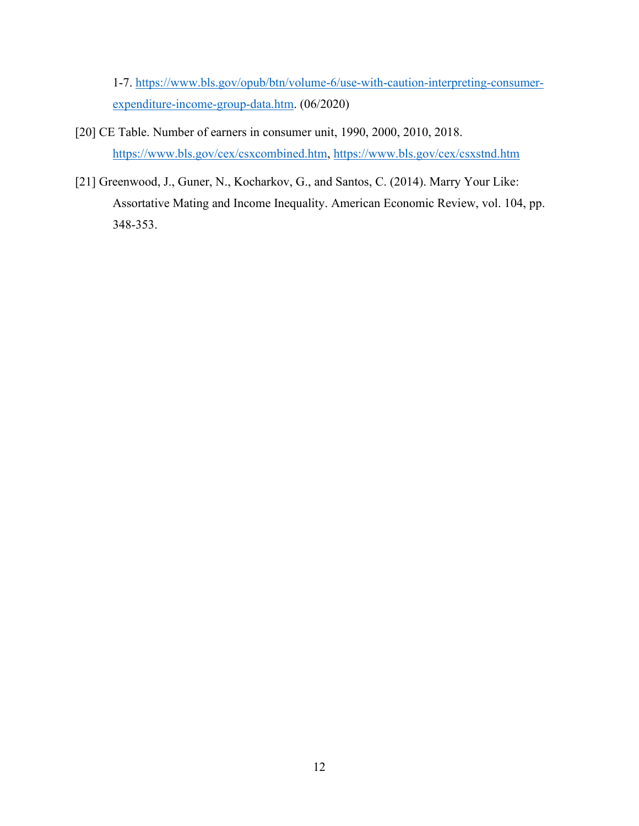1-7. [https://www.bls.gov/opub/btn/volume-6/use-with-caution-interpreting-consumer](https://www.bls.gov/opub/btn/volume-6/use-with-caution-interpreting-consumer-expenditure-income-group-data.htm)[expenditure-income-group-data.htm.](https://www.bls.gov/opub/btn/volume-6/use-with-caution-interpreting-consumer-expenditure-income-group-data.htm) (06/2020)

- [20] CE Table. Number of earners in consumer unit, 1990, 2000, 2010, 2018. [https://www.bls.gov/cex/csxcombined.htm,](https://www.bls.gov/cex/csxcombined.htm)<https://www.bls.gov/cex/csxstnd.htm>
- [21] Greenwood, J., Guner, N., Kocharkov, G., and Santos, C. (2014). Marry Your Like: Assortative Mating and Income Inequality. American Economic Review, vol. 104, pp. 348-353.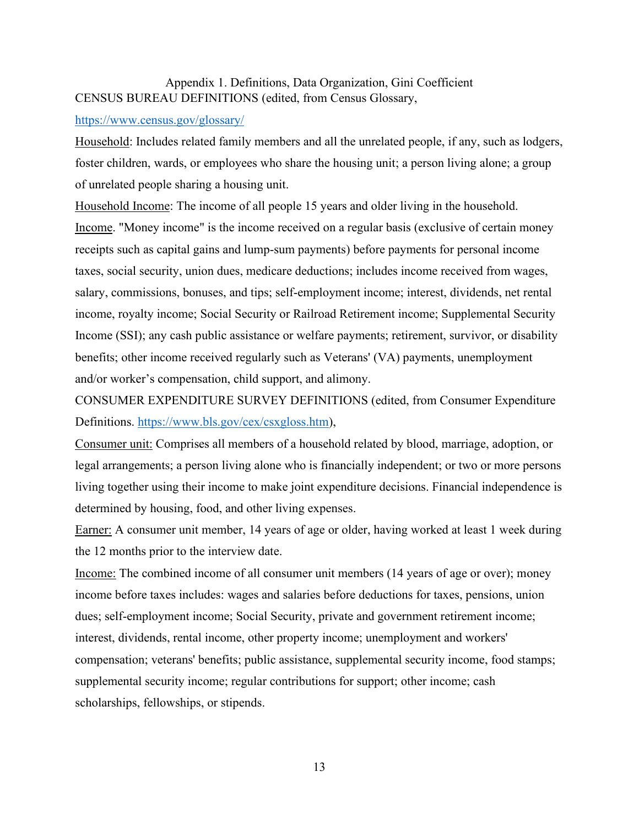# Appendix 1. Definitions, Data Organization, Gini Coefficient CENSUS BUREAU DEFINITIONS (edited, from Census Glossary,

# <https://www.census.gov/glossary/>

Household: Includes related family members and all the unrelated people, if any, such as lodgers, foster children, wards, or employees who share the housing unit; a person living alone; a group of unrelated people sharing a housing unit.

Household Income: The income of all people 15 years and older living in the household. Income. "Money income" is the income received on a regular basis (exclusive of certain money receipts such as capital gains and lump-sum payments) before payments for personal income taxes, social security, union dues, medicare deductions; includes income received from wages, salary, commissions, bonuses, and tips; self-employment income; interest, dividends, net rental income, royalty income; Social Security or Railroad Retirement income; Supplemental Security Income (SSI); any cash public assistance or welfare payments; retirement, survivor, or disability benefits; other income received regularly such as Veterans' (VA) payments, unemployment and/or worker's compensation, child support, and alimony.

CONSUMER EXPENDITURE SURVEY DEFINITIONS (edited, from Consumer Expenditure Definitions. [https://www.bls.gov/cex/csxgloss.htm\)](https://www.bls.gov/cex/csxgloss.htm),

Consumer unit: Comprises all members of a household related by blood, marriage, adoption, or legal arrangements; a person living alone who is financially independent; or two or more persons living together using their income to make joint expenditure decisions. Financial independence is determined by housing, food, and other living expenses.

Earner: A consumer unit member, 14 years of age or older, having worked at least 1 week during the 12 months prior to the interview date.

Income: The combined income of all consumer unit members (14 years of age or over); money income before taxes includes: wages and salaries before deductions for taxes, pensions, union dues; self-employment income; Social Security, private and government retirement income; interest, dividends, rental income, other property income; unemployment and workers' compensation; veterans' benefits; public assistance, supplemental security income, food stamps; supplemental security income; regular contributions for support; other income; cash scholarships, fellowships, or stipends.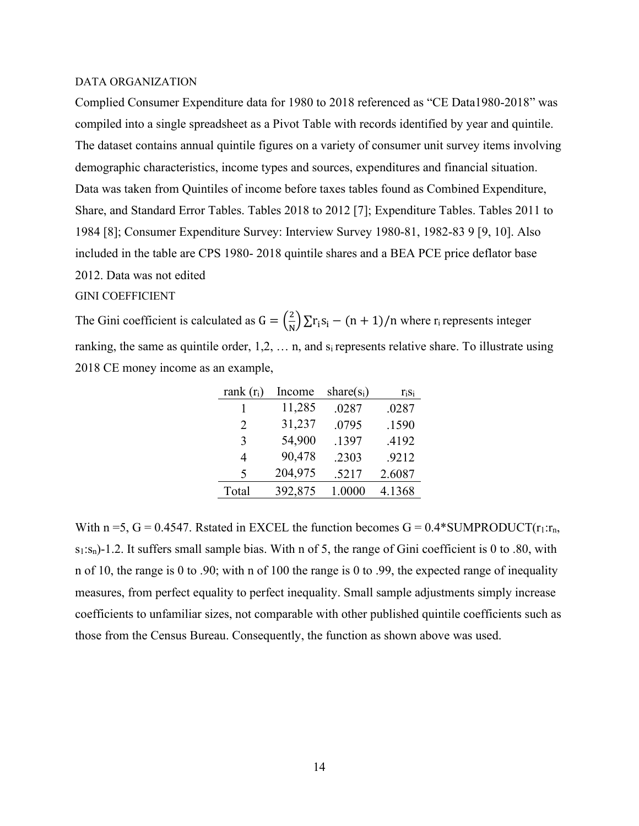#### DATA ORGANIZATION

Complied Consumer Expenditure data for 1980 to 2018 referenced as "CE Data1980-2018" was compiled into a single spreadsheet as a Pivot Table with records identified by year and quintile. The dataset contains annual quintile figures on a variety of consumer unit survey items involving demographic characteristics, income types and sources, expenditures and financial situation. Data was taken from Quintiles of income before taxes tables found as Combined Expenditure, Share, and Standard Error Tables. Tables 2018 to 2012 [7]; Expenditure Tables. Tables 2011 to 1984 [8]; Consumer Expenditure Survey: Interview Survey 1980-81, 1982-83 9 [9, 10]. Also included in the table are CPS 1980- 2018 quintile shares and a BEA PCE price deflator base 2012. Data was not edited

#### GINI COEFFICIENT

The Gini coefficient is calculated as  $G = \left(\frac{2}{N}\right)$  $\frac{2}{N}$ )  $\sum$ r<sub>i</sub>S<sub>i</sub> – (n + 1)/n where r<sub>i</sub> represents integer ranking, the same as quintile order,  $1,2, \ldots$  n, and  $s_i$  represents relative share. To illustrate using 2018 CE money income as an example,

| rank $(r_i)$                | Income  | share $(s_i)$ | $r_i s_i$ |
|-----------------------------|---------|---------------|-----------|
|                             | 11,285  | .0287         | .0287     |
| $\mathcal{D}_{\mathcal{L}}$ | 31,237  | .0795         | .1590     |
| 3                           | 54,900  | .1397         | .4192     |
| 4                           | 90,478  | .2303         | .9212     |
| 5                           | 204,975 | .5217         | 2.6087    |
| Total                       | 392,875 | 1.0000        | 4.1368    |

With n = 5, G = 0.4547. Rstated in EXCEL the function becomes  $G = 0.4*SUMPRODUCT(r_1:r_n,$ s<sub>1</sub>:s<sub>n</sub>)-1.2. It suffers small sample bias. With n of 5, the range of Gini coefficient is 0 to .80, with n of 10, the range is 0 to .90; with n of 100 the range is 0 to .99, the expected range of inequality measures, from perfect equality to perfect inequality. Small sample adjustments simply increase coefficients to unfamiliar sizes, not comparable with other published quintile coefficients such as those from the Census Bureau. Consequently, the function as shown above was used.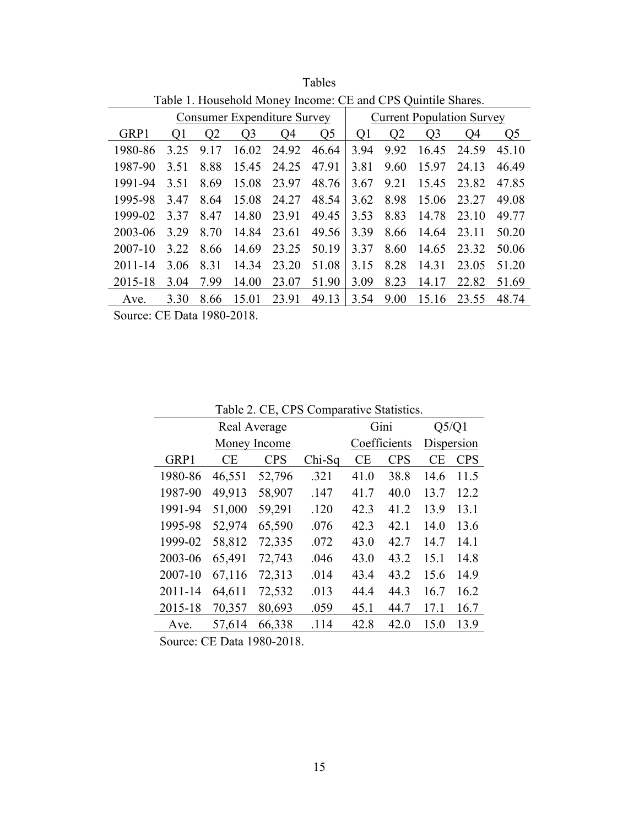|                                    | Table 1. Household Money Income: CE and CPS Quintile Shares.   |      |       |       |       |      |                                  |                |       |                |  |
|------------------------------------|----------------------------------------------------------------|------|-------|-------|-------|------|----------------------------------|----------------|-------|----------------|--|
| <b>Consumer Expenditure Survey</b> |                                                                |      |       |       |       |      | <b>Current Population Survey</b> |                |       |                |  |
| GRP1                               | Q <sub>2</sub><br>Q <sub>3</sub><br>Q <sub>5</sub><br>Q1<br>O4 |      |       |       |       |      | Q <sub>2</sub>                   | Q <sub>3</sub> | Q4    | Q <sub>5</sub> |  |
| 1980-86                            | 3.25                                                           | 9.17 | 16.02 | 24.92 | 46.64 | 3.94 | 9.92                             | 16.45          | 24.59 | 45.10          |  |
| 1987-90                            | 3.51                                                           | 8.88 | 15.45 | 24.25 | 47.91 | 3.81 | 9.60                             | 15.97          | 24.13 | 46.49          |  |
| 1991-94                            | 3.51                                                           | 8.69 | 15.08 | 23.97 | 48.76 | 3.67 | 9.21                             | 15.45          | 23.82 | 47.85          |  |
| 1995-98                            | 3.47                                                           | 8.64 | 15.08 | 24.27 | 48.54 | 3.62 | 8.98                             | 15.06          | 23.27 | 49.08          |  |
| 1999-02                            | 3.37                                                           | 8.47 | 14.80 | 23.91 | 49.45 | 3.53 | 8.83                             | 14.78          | 23.10 | 49.77          |  |
| 2003-06                            | 3.29                                                           | 8.70 | 14.84 | 23.61 | 49.56 | 3.39 | 8.66                             | 14.64          | 23.11 | 50.20          |  |
| 2007-10                            | 3.22                                                           | 8.66 | 14.69 | 23.25 | 50.19 | 3.37 | 8.60                             | 14.65          | 23.32 | 50.06          |  |
| 2011-14                            | 3.06                                                           | 8.31 | 14.34 | 23.20 | 51.08 | 3.15 | 8.28                             | 14.31          | 23.05 | 51.20          |  |
| 2015-18                            | 3.04                                                           | 7.99 | 14.00 | 23.07 | 51.90 | 3.09 | 8.23                             | 14.17          | 22.82 | 51.69          |  |
| Ave.                               | 3.30                                                           | 8.66 | 15.01 | 23.91 | 49.13 | 3.54 | 9.00                             | 15.16          | 23.55 | 48.74          |  |

Tables

Table 2. CE, CPS Comparative Statistics.

| I able $\angle$ . CE, CFS Comparative Statistics. |            |                              |      |            |                      |            |  |  |  |
|---------------------------------------------------|------------|------------------------------|------|------------|----------------------|------------|--|--|--|
|                                                   |            |                              |      |            | Q5/Q1                |            |  |  |  |
|                                                   |            |                              |      |            | Dispersion           |            |  |  |  |
| <b>CE</b>                                         | <b>CPS</b> | $Chi-Sq$                     | CE   | <b>CPS</b> | CE                   | <b>CPS</b> |  |  |  |
| 46,551                                            | 52,796     | .321                         | 41.0 | 38.8       | 14.6                 | 11.5       |  |  |  |
| 49,913                                            | 58,907     | .147                         | 41.7 | 40.0       | 13.7                 | 12.2       |  |  |  |
| 51,000                                            | 59,291     | .120                         | 42.3 | 41.2       | 13.9                 | 13.1       |  |  |  |
| 52,974                                            | 65,590     | .076                         | 42.3 | 42.1       | 14.0                 | 13.6       |  |  |  |
| 58,812                                            | 72,335     | .072                         | 43.0 | 42.7       | 14.7                 | 14.1       |  |  |  |
| 65,491                                            | 72,743     | .046                         | 43.0 | 43.2       | 15.1                 | 14.8       |  |  |  |
| 67,116                                            | 72,313     | .014                         | 43.4 | 43.2       | 15.6                 | 14.9       |  |  |  |
| 64,611                                            | 72,532     | .013                         | 44.4 | 44.3       | 16.7                 | 16.2       |  |  |  |
| 70,357                                            | 80,693     | .059                         | 45.1 | 44.7       | 17.1                 | 16.7       |  |  |  |
| 57,614                                            | 66,338     | .114                         | 42.8 | 42.0       | 15.0                 | 13.9       |  |  |  |
|                                                   |            | Real Average<br>Money Income |      |            | Gini<br>Coefficients |            |  |  |  |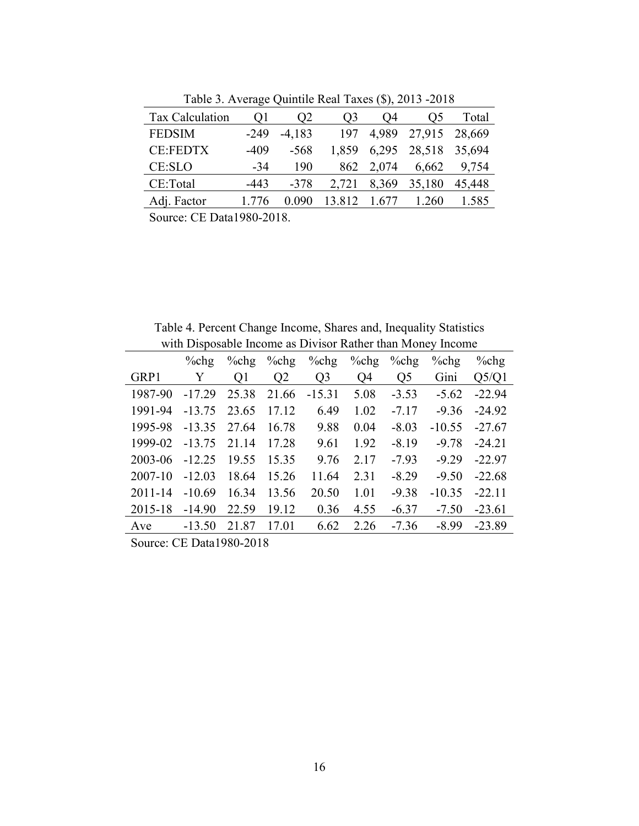| Tax Calculation | Οl     | O <sub>2</sub> | O3     | 04    | O5                  | Total  |
|-----------------|--------|----------------|--------|-------|---------------------|--------|
| <b>FEDSIM</b>   | $-249$ | $-4,183$       | 197    |       | 4,989 27,915 28,669 |        |
| <b>CE:FEDTX</b> | $-409$ | $-568$         | 1.859  | 6,295 | 28,518 35,694       |        |
| CE:SLO          | $-34$  | 190            | 862    | 2,074 | 6,662               | 9,754  |
| CE:Total        | $-443$ | $-378$         | 2,721  | 8,369 | 35,180              | 45,448 |
| Adj. Factor     | 1.776  | 0.090          | 13.812 | 1.677 | 1.260               | 1.585  |
|                 |        |                |        |       |                     |        |

Table 3. Average Quintile Real Taxes (\$), 2013 -2018

Table 4. Percent Change Income, Shares and, Inequality Statistics with Disposable Income as Divisor Rather than Money Income

|             | $\%$ chg             | $\%$ chg         | $\%$ chg       | $%$ chg        | $%$ chg | $\%$ chg | $\%$ chg | $%$ chg  |
|-------------|----------------------|------------------|----------------|----------------|---------|----------|----------|----------|
| GRP1        | Y                    | Q1               | Q <sub>2</sub> | Q <sub>3</sub> | Q4      | Q5       | Gini     | Q5/Q1    |
| 1987-90     | $-17.29$             | 25.38            | 21.66          | $-15.31$       | 5.08    | $-3.53$  | $-5.62$  | $-22.94$ |
| 1991-94     | $-13.75$             | 23.65            | 17.12          | 6.49           | 1.02    | $-7.17$  | $-9.36$  | $-24.92$ |
| 1995-98     | $-13.35$             | 27.64            | 16.78          | 9.88           | 0.04    | $-8.03$  | $-10.55$ | $-27.67$ |
| 1999-02     | $-13.75$             | 21.14            | 17.28          | 9.61           | 1.92    | $-8.19$  | $-9.78$  | $-24.21$ |
| 2003-06     | $-12.25$             | 19.55            | 15.35          | 9.76           | 2.17    | $-7.93$  | $-9.29$  | $-22.97$ |
| 2007-10     | $-12.03$             | 18.64            | 15.26          | 11.64          | 2.31    | $-8.29$  | $-9.50$  | $-22.68$ |
| $2011 - 14$ | $-10.69$             | 16.34            | 13.56          | 20.50          | 1.01    | $-9.38$  | $-10.35$ | $-22.11$ |
| 2015-18     | $-14.90$             | 22.59            | 19.12          | 0.36           | 4.55    | $-6.37$  | $-7.50$  | $-23.61$ |
| Ave         | $-13.50$             | 21.87            | 17.01          | 6.62           | 2.26    | $-7.36$  | $-8.99$  | $-23.89$ |
|             | $\sim$ $\sim$ $\sim$ | $\sim$ 4000 0040 |                |                |         |          |          |          |

Source: CE Data1980-2018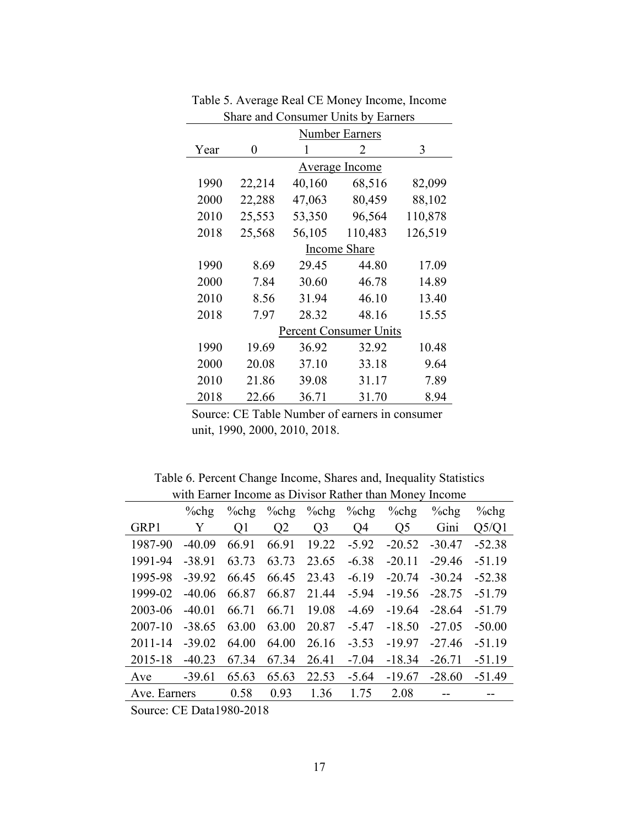|      | <b>Number Earners</b> |        |                               |         |  |  |  |  |  |  |
|------|-----------------------|--------|-------------------------------|---------|--|--|--|--|--|--|
| Year | 0                     | 1      | 2                             | 3       |  |  |  |  |  |  |
|      |                       |        | Average Income                |         |  |  |  |  |  |  |
| 1990 | 22,214                | 40,160 | 68,516                        | 82,099  |  |  |  |  |  |  |
| 2000 | 22,288                | 47,063 | 80,459                        | 88,102  |  |  |  |  |  |  |
| 2010 | 25,553                | 53,350 | 96,564                        | 110,878 |  |  |  |  |  |  |
| 2018 | 25,568                | 56,105 | 110,483                       | 126,519 |  |  |  |  |  |  |
|      |                       |        | Income Share                  |         |  |  |  |  |  |  |
| 1990 | 8.69                  | 29.45  | 44.80                         | 17.09   |  |  |  |  |  |  |
| 2000 | 7.84                  | 30.60  | 46.78                         | 14.89   |  |  |  |  |  |  |
| 2010 | 8.56                  | 31.94  | 46.10                         | 13.40   |  |  |  |  |  |  |
| 2018 | 7.97                  | 28.32  | 48.16                         | 15.55   |  |  |  |  |  |  |
|      |                       |        | <b>Percent Consumer Units</b> |         |  |  |  |  |  |  |
| 1990 | 19.69                 | 36.92  | 32.92                         | 10.48   |  |  |  |  |  |  |
| 2000 | 20.08                 | 37.10  | 33.18                         | 9.64    |  |  |  |  |  |  |
| 2010 | 21.86                 | 39.08  | 31.17                         | 7.89    |  |  |  |  |  |  |
| 2018 | 22.66                 | 36.71  | 31.70                         | 8.94    |  |  |  |  |  |  |

Table 5. Average Real CE Money Income, Income Share and Consumer Units by Earners  $\overline{\phantom{a}}$ 

Source: CE Table Number of earners in consumer unit, 1990, 2000, 2010, 2018.

Table 6. Percent Change Income, Shares and, Inequality Statistics with Earner Income as Divisor Rather than Money Income

|              | $\%$ chg | $%$ chg | $%$ chg        | $%$ chg        | $%$ chg | $%$ chg        | $%$ chg  | $%$ chg  |
|--------------|----------|---------|----------------|----------------|---------|----------------|----------|----------|
| GRP1         | Y        | Q1      | Q <sub>2</sub> | Q <sub>3</sub> | O4      | Q <sub>5</sub> | Gini     | Q5/Q1    |
| 1987-90      | $-40.09$ | 66.91   | 66.91          | 19.22          | $-5.92$ | $-20.52$       | $-30.47$ | $-52.38$ |
| 1991-94      | $-38.91$ | 63.73   | 63.73          | 23.65          | $-6.38$ | $-20.11$       | $-29.46$ | $-51.19$ |
| 1995-98      | $-39.92$ | 66.45   | 66.45          | 23.43          | $-6.19$ | $-20.74$       | $-30.24$ | $-52.38$ |
| 1999-02      | $-40.06$ | 66.87   | 66.87          | 21.44          | $-5.94$ | $-19.56$       | $-28.75$ | $-51.79$ |
| 2003-06      | $-40.01$ | 66.71   | 66.71          | 19.08          | $-4.69$ | $-19.64$       | $-28.64$ | $-51.79$ |
| 2007-10      | $-38.65$ | 63.00   | 63.00          | 20.87          | $-5.47$ | $-18.50$       | $-27.05$ | $-50.00$ |
| $2011 - 14$  | $-39.02$ | 64.00   | 64.00          | 26.16          | $-3.53$ | $-19.97$       | $-27.46$ | $-51.19$ |
| 2015-18      | $-40.23$ | 67.34   | 67.34          | 26.41          | $-7.04$ | $-18.34$       | $-26.71$ | $-51.19$ |
| Ave          | $-39.61$ | 65.63   | 65.63          | 22.53          | $-5.64$ | $-19.67$       | $-28.60$ | $-51.49$ |
| Ave. Earners |          | 0.58    | 0.93           | 1.36           | 1.75    | 2.08           |          |          |

Source: CE Data1980-2018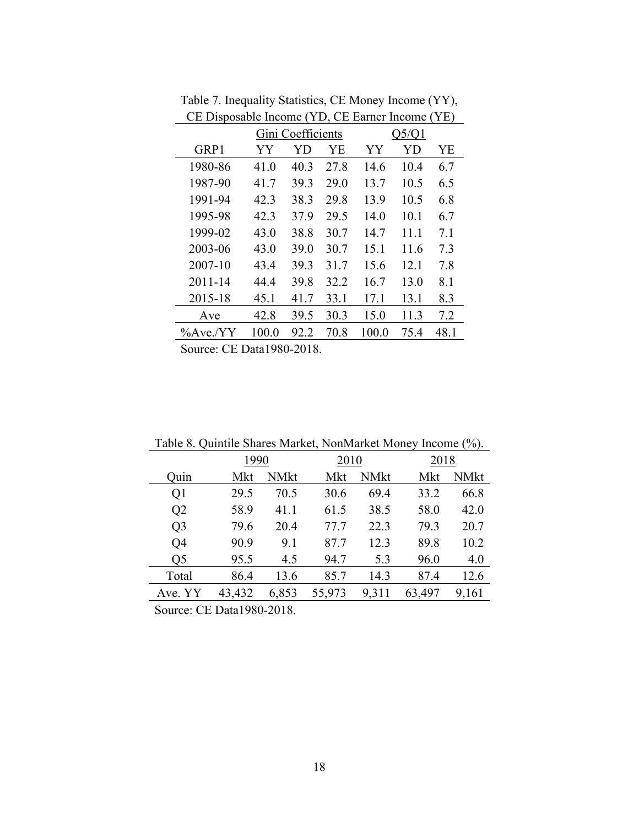|          |                 | Gini Coefficients |      |       | Q5/Q1 |      |
|----------|-----------------|-------------------|------|-------|-------|------|
| GRP1     | YY              | YD                | YΕ   | YY    | YD    | YE   |
| 1980-86  | 41.0            | 40.3              | 27.8 | 14.6  | 10.4  | 6.7  |
| 1987-90  | 41.7            | 39.3              | 29.0 | 13.7  | 10.5  | 6.5  |
| 1991-94  | 42.3            | 38.3              | 29.8 | 13.9  | 10.5  | 6.8  |
| 1995-98  | 42.3            | 37.9              | 29.5 | 14.0  | 10.1  | 6.7  |
| 1999-02  | 43.0            | 38.8              | 30.7 | 14.7  | 11.1  | 7.1  |
| 2003-06  | 43.0            | 39.0              | 30.7 | 15.1  | 11.6  | 7.3  |
| 2007-10  | 43.4            | 39.3              | 31.7 | 15.6  | 12.1  | 7.8  |
| 2011-14  | 44.4            | 39.8              | 32.2 | 16.7  | 13.0  | 8.1  |
| 2015-18  | 45.1            | 41.7              | 33.1 | 17.1  | 13.1  | 8.3  |
| Ave      | 42.8            | 39.5              | 30.3 | 15.0  | 11.3  | 7.2  |
| %Ave./YY | 100.0           | 92.2              | 70.8 | 100.0 | 75.4  | 48.1 |
| $\sim$   | $GFD + 1000000$ |                   |      |       |       |      |

Table 7. Inequality Statistics, CE Money Income (YY), CE Disposable Income (YD, CE Earner Income (YE)

|                | Table 6. Quilitile Shares Market, Noniviarket Money Income (70). |       |        |             |        |             |  |  |  |  |  |
|----------------|------------------------------------------------------------------|-------|--------|-------------|--------|-------------|--|--|--|--|--|
|                | 1990                                                             |       | 2010   |             | 2018   |             |  |  |  |  |  |
| Quin           | Mkt                                                              | NMkt  | Mkt    | <b>NMkt</b> | Mkt    | <b>NMkt</b> |  |  |  |  |  |
| Q <sub>1</sub> | 29.5                                                             | 70.5  | 30.6   | 69.4        | 33.2   | 66.8        |  |  |  |  |  |
| Q <sub>2</sub> | 58.9                                                             | 41.1  | 61.5   | 38.5        | 58.0   | 42.0        |  |  |  |  |  |
| Q <sub>3</sub> | 79.6                                                             | 20.4  | 77.7   | 22.3        | 79.3   | 20.7        |  |  |  |  |  |
| Q <sub>4</sub> | 90.9                                                             | 9.1   | 87.7   | 12.3        | 89.8   | 10.2        |  |  |  |  |  |
| Q <sub>5</sub> | 95.5                                                             | 4.5   | 94.7   | 5.3         | 96.0   | 4.0         |  |  |  |  |  |
| Total          | 86.4                                                             | 13.6  | 85.7   | 14.3        | 87.4   | 12.6        |  |  |  |  |  |
| Ave. YY        | 43,432                                                           | 6,853 | 55,973 | 9,311       | 63,497 | 9,161       |  |  |  |  |  |
|                |                                                                  | .     |        |             |        |             |  |  |  |  |  |

Table 8. Quintile Shares Market, NonMarket Money Income (%).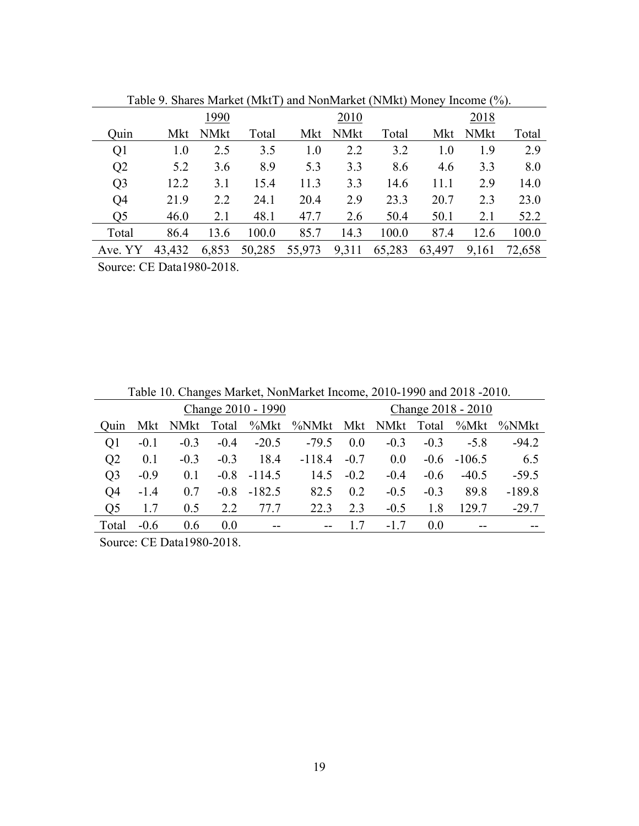|                |               | 1990             |        |        | 2010        |        |        | 2018  |        |
|----------------|---------------|------------------|--------|--------|-------------|--------|--------|-------|--------|
| Quin           | Mkt           | <b>NMkt</b>      | Total  | Mkt    | <b>NMkt</b> | Total  | Mkt    | NMkt  | Total  |
| Q1             | 1.0           | 2.5              | 3.5    | 1.0    | 2.2         | 3.2    | 1.0    | 1.9   | 2.9    |
| Q <sub>2</sub> | 5.2           | 3.6              | 8.9    | 5.3    | 3.3         | 8.6    | 4.6    | 3.3   | 8.0    |
| Q <sub>3</sub> | 12.2          | 3.1              | 15.4   | 11.3   | 3.3         | 14.6   | 11.1   | 2.9   | 14.0   |
| Q <sub>4</sub> | 21.9          | 2.2              | 24.1   | 20.4   | 2.9         | 23.3   | 20.7   | 2.3   | 23.0   |
| Q5             | 46.0          | 2.1              | 48.1   | 47.7   | 2.6         | 50.4   | 50.1   | 2.1   | 52.2   |
| Total          | 86.4          | 13.6             | 100.0  | 85.7   | 14.3        | 100.0  | 87.4   | 12.6  | 100.0  |
| Ave. YY        | 43,432        | 6,853            | 50,285 | 55,973 | 9,311       | 65,283 | 63,497 | 9,161 | 72,658 |
|                | $\sim$ $\sim$ | $\sim$ 4000 0040 |        |        |             |        |        |       |        |

Table 9. Shares Market (MktT) and NonMarket (NMkt) Money Income (%).

|                | Table 10. Changes Market, NonMarket Income, 2010-1990 and 2018 -2010. |                                                         |        |                    |           |        |        |                    |          |          |
|----------------|-----------------------------------------------------------------------|---------------------------------------------------------|--------|--------------------|-----------|--------|--------|--------------------|----------|----------|
|                |                                                                       |                                                         |        | Change 2010 - 1990 |           |        |        | Change 2018 - 2010 |          |          |
| Ouin           | Mkt                                                                   | NMkt                                                    | Total  | %Mkt               | %NMkt Mkt |        | NMkt   | Total              | %Mkt     | %NMkt    |
| Q <sub>1</sub> | $-0.1$                                                                | $-0.3$                                                  | $-0.4$ | $-20.5$            | $-79.5$   | 0.0    | $-0.3$ | $-0.3$             | $-5.8$   | $-94.2$  |
| Q <sub>2</sub> | 0.1                                                                   | $-0.3$                                                  | $-0.3$ | 18.4               | $-118.4$  | $-0.7$ | 0.0    | $-0.6$             | $-106.5$ | 6.5      |
| Q <sub>3</sub> | $-0.9$                                                                | 0.1                                                     | $-0.8$ | $-114.5$           | 14.5      | $-0.2$ | $-0.4$ | $-0.6$             | $-40.5$  | $-59.5$  |
| Q <sub>4</sub> | $-1.4$                                                                | 0.7                                                     | $-0.8$ | $-182.5$           | 82.5      | 0.2    | $-0.5$ | $-0.3$             | 89.8     | $-189.8$ |
| Q <sub>5</sub> | 1.7                                                                   | 0.5                                                     | 2.2    | 77.7               | 22.3      | 2.3    | $-0.5$ | 1.8                | 129.7    | $-29.7$  |
| Total          | $-0.6$                                                                | 0.6                                                     | 0.0    | $\sim$ $\sim$      | $-$       |        | $-1.7$ | 0.0                | $- -$    |          |
| $\sim$         |                                                                       | $\sim$ $\sim$ $\sim$ $\sim$ $\sim$ $\sim$ $\sim$ $\sim$ |        |                    |           |        |        |                    |          |          |

Table 10. Changes Market, NonMarket Income, 2010-1990 and 2018 -2010.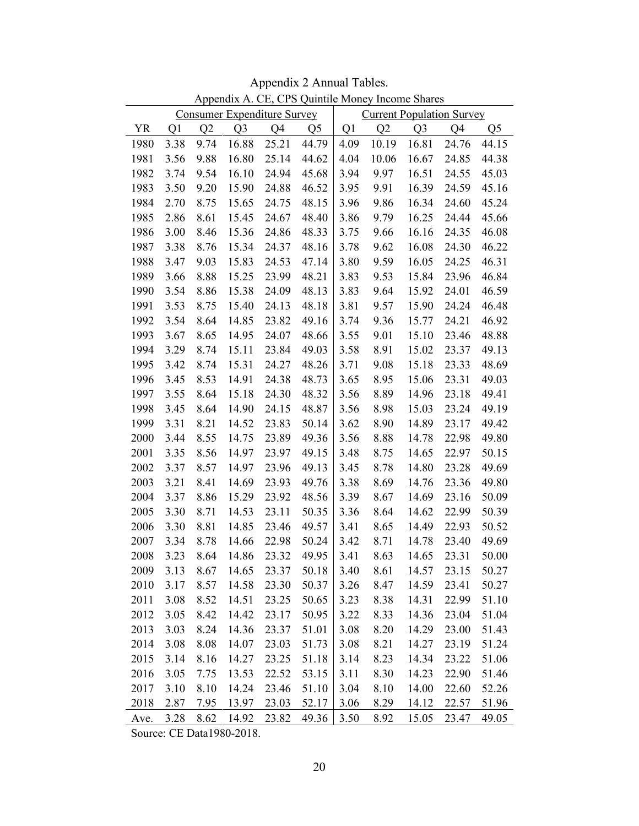| Appendix A. CE, CPS Quintile Money Income Shares |      |                |                                    |       |                |      |                                  |                |       |                |
|--------------------------------------------------|------|----------------|------------------------------------|-------|----------------|------|----------------------------------|----------------|-------|----------------|
|                                                  |      |                | <b>Consumer Expenditure Survey</b> |       |                |      | <b>Current Population Survey</b> |                |       |                |
| <b>YR</b>                                        | Q1   | Q <sub>2</sub> | Q <sub>3</sub>                     | Q4    | Q <sub>5</sub> | Q1   | Q2                               | Q <sub>3</sub> | Q4    | Q <sub>5</sub> |
| 1980                                             | 3.38 | 9.74           | 16.88                              | 25.21 | 44.79          | 4.09 | 10.19                            | 16.81          | 24.76 | 44.15          |
| 1981                                             | 3.56 | 9.88           | 16.80                              | 25.14 | 44.62          | 4.04 | 10.06                            | 16.67          | 24.85 | 44.38          |
| 1982                                             | 3.74 | 9.54           | 16.10                              | 24.94 | 45.68          | 3.94 | 9.97                             | 16.51          | 24.55 | 45.03          |
| 1983                                             | 3.50 | 9.20           | 15.90                              | 24.88 | 46.52          | 3.95 | 9.91                             | 16.39          | 24.59 | 45.16          |
| 1984                                             | 2.70 | 8.75           | 15.65                              | 24.75 | 48.15          | 3.96 | 9.86                             | 16.34          | 24.60 | 45.24          |
| 1985                                             | 2.86 | 8.61           | 15.45                              | 24.67 | 48.40          | 3.86 | 9.79                             | 16.25          | 24.44 | 45.66          |
| 1986                                             | 3.00 | 8.46           | 15.36                              | 24.86 | 48.33          | 3.75 | 9.66                             | 16.16          | 24.35 | 46.08          |
| 1987                                             | 3.38 | 8.76           | 15.34                              | 24.37 | 48.16          | 3.78 | 9.62                             | 16.08          | 24.30 | 46.22          |
| 1988                                             | 3.47 | 9.03           | 15.83                              | 24.53 | 47.14          | 3.80 | 9.59                             | 16.05          | 24.25 | 46.31          |
| 1989                                             | 3.66 | 8.88           | 15.25                              | 23.99 | 48.21          | 3.83 | 9.53                             | 15.84          | 23.96 | 46.84          |
| 1990                                             | 3.54 | 8.86           | 15.38                              | 24.09 | 48.13          | 3.83 | 9.64                             | 15.92          | 24.01 | 46.59          |
| 1991                                             | 3.53 | 8.75           | 15.40                              | 24.13 | 48.18          | 3.81 | 9.57                             | 15.90          | 24.24 | 46.48          |
| 1992                                             | 3.54 | 8.64           | 14.85                              | 23.82 | 49.16          | 3.74 | 9.36                             | 15.77          | 24.21 | 46.92          |
| 1993                                             | 3.67 | 8.65           | 14.95                              | 24.07 | 48.66          | 3.55 | 9.01                             | 15.10          | 23.46 | 48.88          |
| 1994                                             | 3.29 | 8.74           | 15.11                              | 23.84 | 49.03          | 3.58 | 8.91                             | 15.02          | 23.37 | 49.13          |
| 1995                                             | 3.42 | 8.74           | 15.31                              | 24.27 | 48.26          | 3.71 | 9.08                             | 15.18          | 23.33 | 48.69          |
| 1996                                             | 3.45 | 8.53           | 14.91                              | 24.38 | 48.73          | 3.65 | 8.95                             | 15.06          | 23.31 | 49.03          |
| 1997                                             | 3.55 | 8.64           | 15.18                              | 24.30 | 48.32          | 3.56 | 8.89                             | 14.96          | 23.18 | 49.41          |
| 1998                                             | 3.45 | 8.64           | 14.90                              | 24.15 | 48.87          | 3.56 | 8.98                             | 15.03          | 23.24 | 49.19          |
| 1999                                             | 3.31 | 8.21           | 14.52                              | 23.83 | 50.14          | 3.62 | 8.90                             | 14.89          | 23.17 | 49.42          |
| 2000                                             | 3.44 | 8.55           | 14.75                              | 23.89 | 49.36          | 3.56 | 8.88                             | 14.78          | 22.98 | 49.80          |
| 2001                                             | 3.35 | 8.56           | 14.97                              | 23.97 | 49.15          | 3.48 | 8.75                             | 14.65          | 22.97 | 50.15          |
| 2002                                             | 3.37 | 8.57           | 14.97                              | 23.96 | 49.13          | 3.45 | 8.78                             | 14.80          | 23.28 | 49.69          |
| 2003                                             | 3.21 | 8.41           | 14.69                              | 23.93 | 49.76          | 3.38 | 8.69                             | 14.76          | 23.36 | 49.80          |
| 2004                                             | 3.37 | 8.86           | 15.29                              | 23.92 | 48.56          | 3.39 | 8.67                             | 14.69          | 23.16 | 50.09          |
| 2005                                             | 3.30 | 8.71           | 14.53                              | 23.11 | 50.35          | 3.36 | 8.64                             | 14.62          | 22.99 | 50.39          |
| 2006                                             | 3.30 | 8.81           | 14.85                              | 23.46 | 49.57          | 3.41 | 8.65                             | 14.49          | 22.93 | 50.52          |
| 2007                                             | 3.34 | 8.78           | 14.66                              | 22.98 | 50.24          | 3.42 | 8.71                             | 14.78          | 23.40 | 49.69          |
| 2008                                             | 3.23 | 8.64           | 14.86                              | 23.32 | 49.95          | 3.41 | 8.63                             | 14.65          | 23.31 | 50.00          |
| 2009                                             | 3.13 | 8.67           | 14.65                              | 23.37 | 50.18          | 3.40 | 8.61                             | 14.57          | 23.15 | 50.27          |
| 2010                                             | 3.17 | 8.57           | 14.58                              | 23.30 | 50.37          | 3.26 | 8.47                             | 14.59          | 23.41 | 50.27          |
| 2011                                             | 3.08 | 8.52           | 14.51                              | 23.25 | 50.65          | 3.23 | 8.38                             | 14.31          | 22.99 | 51.10          |
| 2012                                             | 3.05 | 8.42           | 14.42                              | 23.17 | 50.95          | 3.22 | 8.33                             | 14.36          | 23.04 | 51.04          |
| 2013                                             | 3.03 | 8.24           | 14.36                              | 23.37 | 51.01          | 3.08 | 8.20                             | 14.29          | 23.00 | 51.43          |
| 2014                                             | 3.08 | 8.08           | 14.07                              | 23.03 | 51.73          | 3.08 | 8.21                             | 14.27          | 23.19 | 51.24          |
| 2015                                             | 3.14 | 8.16           | 14.27                              | 23.25 | 51.18          | 3.14 | 8.23                             | 14.34          | 23.22 | 51.06          |
| 2016                                             | 3.05 | 7.75           | 13.53                              | 22.52 | 53.15          | 3.11 | 8.30                             | 14.23          | 22.90 | 51.46          |
| 2017                                             | 3.10 | 8.10           | 14.24                              | 23.46 | 51.10          | 3.04 | 8.10                             | 14.00          | 22.60 | 52.26          |
| 2018                                             | 2.87 | 7.95           | 13.97                              | 23.03 | 52.17          | 3.06 | 8.29                             | 14.12          | 22.57 | 51.96          |
| Ave.                                             | 3.28 | 8.62           | 14.92                              | 23.82 | 49.36          | 3.50 | 8.92                             | 15.05          | 23.47 | 49.05          |

Appendix 2 Annual Tables.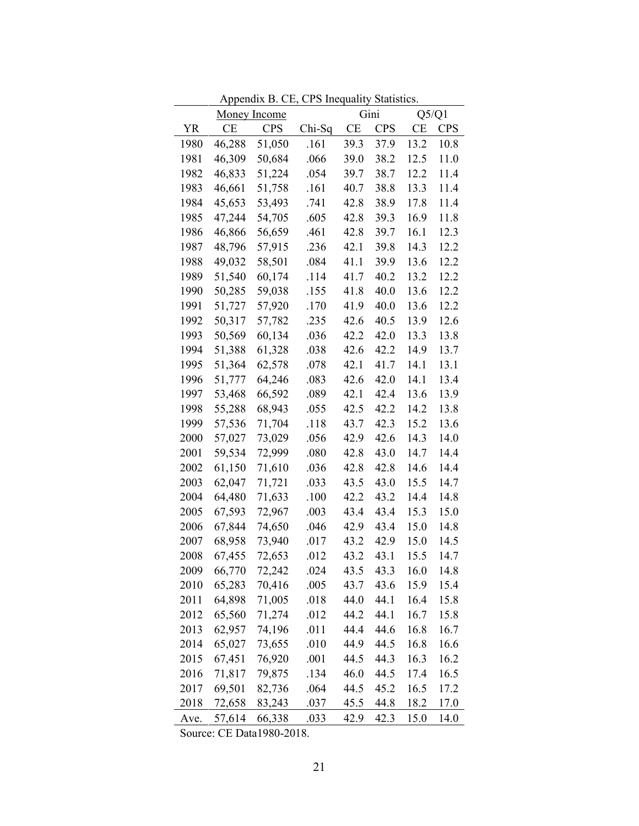|           |           |                                             | дррениту в се, стр недианту манянся. |                          |      |                           |      |
|-----------|-----------|---------------------------------------------|--------------------------------------|--------------------------|------|---------------------------|------|
| <b>YR</b> | <b>CE</b> | <u>Money Income</u><br><b>CPS</b><br>Chi-Sq |                                      | Gini<br>CE<br><b>CPS</b> |      | Q5/Q1<br>CE<br><b>CPS</b> |      |
| 1980      | 46,288    | 51,050                                      | .161                                 | 39.3                     | 37.9 | 13.2                      | 10.8 |
| 1981      | 46,309    | 50,684                                      | .066                                 | 39.0                     | 38.2 | 12.5                      | 11.0 |
| 1982      | 46,833    | 51,224                                      | .054                                 | 39.7                     | 38.7 | 12.2                      | 11.4 |
| 1983      | 46,661    | 51,758                                      | .161                                 | 40.7                     | 38.8 | 13.3                      | 11.4 |
| 1984      | 45,653    | 53,493                                      | .741                                 | 42.8                     | 38.9 | 17.8                      | 11.4 |
| 1985      | 47,244    | 54,705                                      | .605                                 | 42.8                     | 39.3 | 16.9                      | 11.8 |
| 1986      | 46,866    | 56,659                                      | .461                                 | 42.8                     | 39.7 | 16.1                      | 12.3 |
| 1987      | 48,796    | 57,915                                      | .236                                 | 42.1                     | 39.8 | 14.3                      | 12.2 |
| 1988      | 49,032    | 58,501                                      | .084                                 | 41.1                     | 39.9 | 13.6                      | 12.2 |
| 1989      | 51,540    | 60,174                                      | .114                                 | 41.7                     | 40.2 | 13.2                      | 12.2 |
| 1990      | 50,285    | 59,038                                      | .155                                 | 41.8                     | 40.0 | 13.6                      | 12.2 |
| 1991      | 51,727    | 57,920                                      | .170                                 | 41.9                     | 40.0 | 13.6                      | 12.2 |
| 1992      | 50,317    | 57,782                                      | .235                                 | 42.6                     | 40.5 | 13.9                      | 12.6 |
| 1993      | 50,569    | 60,134                                      | .036                                 | 42.2                     | 42.0 | 13.3                      | 13.8 |
| 1994      | 51,388    | 61,328                                      | .038                                 | 42.6                     | 42.2 | 14.9                      | 13.7 |
| 1995      | 51,364    | 62,578                                      | .078                                 | 42.1                     | 41.7 | 14.1                      | 13.1 |
| 1996      | 51,777    | 64,246                                      | .083                                 | 42.6                     | 42.0 | 14.1                      | 13.4 |
| 1997      | 53,468    | 66,592                                      | .089                                 | 42.1                     | 42.4 | 13.6                      | 13.9 |
| 1998      | 55,288    | 68,943                                      | .055                                 | 42.5                     | 42.2 | 14.2                      | 13.8 |
| 1999      | 57,536    | 71,704                                      | .118                                 | 43.7                     | 42.3 | 15.2                      | 13.6 |
| 2000      | 57,027    | 73,029                                      | .056                                 | 42.9                     | 42.6 | 14.3                      | 14.0 |
| 2001      | 59,534    | 72,999                                      | .080                                 | 42.8                     | 43.0 | 14.7                      | 14.4 |
| 2002      | 61,150    | 71,610                                      | .036                                 | 42.8                     | 42.8 | 14.6                      | 14.4 |
| 2003      | 62,047    | 71,721                                      | .033                                 | 43.5                     | 43.0 | 15.5                      | 14.7 |
| 2004      | 64,480    | 71,633                                      | .100                                 | 42.2                     | 43.2 | 14.4                      | 14.8 |
| 2005      | 67,593    | 72,967                                      | .003                                 | 43.4                     | 43.4 | 15.3                      | 15.0 |
| 2006      | 67,844    | 74,650                                      | .046                                 | 42.9                     | 43.4 | 15.0                      | 14.8 |
| 2007      | 68,958    | 73,940                                      | .017                                 | 43.2                     | 42.9 | 15.0                      | 14.5 |
| 2008      | 67,455    | 72,653                                      | .012                                 | 43.2                     | 43.1 | 15.5                      | 14.7 |
| 2009      | 66,770    | 72,242                                      | .024                                 | 43.5                     | 43.3 | 16.0                      | 14.8 |
| 2010      | 65,283    | 70,416                                      | .005                                 | 43.7                     | 43.6 | 15.9                      | 15.4 |
| 2011      | 64,898    | 71,005                                      | .018                                 | 44.0                     | 44.1 | 16.4                      | 15.8 |
| 2012      | 65,560    | 71,274                                      | .012                                 | 44.2                     | 44.1 | 16.7                      | 15.8 |
| 2013      | 62,957    | 74,196                                      | .011                                 | 44.4                     | 44.6 | 16.8                      | 16.7 |
| 2014      | 65,027    | 73,655                                      | .010                                 | 44.9                     | 44.5 | 16.8                      | 16.6 |
| 2015      | 67,451    | 76,920                                      | .001                                 | 44.5                     | 44.3 | 16.3                      | 16.2 |
| 2016      | 71,817    | 79,875                                      | .134                                 | 46.0                     | 44.5 | 17.4                      | 16.5 |
| 2017      | 69,501    | 82,736                                      | .064                                 | 44.5                     | 45.2 | 16.5                      | 17.2 |
| 2018      | 72,658    | 83,243                                      | .037                                 | 45.5                     | 44.8 | 18.2                      | 17.0 |
| Ave.      | 57,614    | 66,338                                      | .033                                 | 42.9                     | 42.3 | 15.0                      | 14.0 |

Appendix B. CE, CPS Inequality Statistics.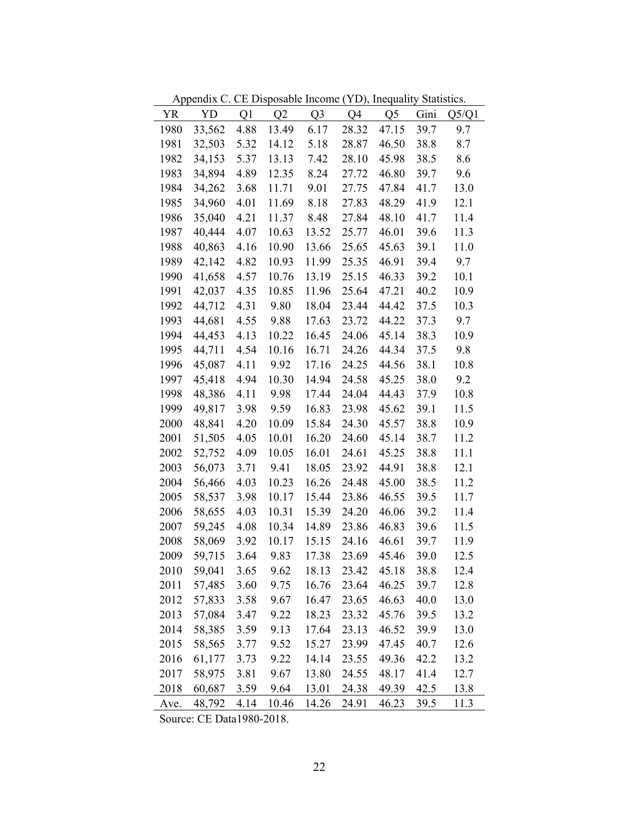|           | $\mu$ reported $\alpha$ . The Disposable modifie $\mu$ |      |           |                |       | $1.2$ ), $\frac{1.24}{1.24}$ |      |       |
|-----------|--------------------------------------------------------|------|-----------|----------------|-------|------------------------------|------|-------|
| <b>YR</b> | YD                                                     | Q1   | Q2        | Q <sub>3</sub> | Q4    | Q <sub>5</sub>               | Gini | Q5/Q1 |
| 1980      | 33,562                                                 | 4.88 | 13.49     | 6.17           | 28.32 | 47.15                        | 39.7 | 9.7   |
| 1981      | 32,503                                                 | 5.32 | 14.12     | 5.18           | 28.87 | 46.50                        | 38.8 | 8.7   |
| 1982      | 34,153                                                 | 5.37 | 13.13     | 7.42           | 28.10 | 45.98                        | 38.5 | 8.6   |
| 1983      | 34,894                                                 | 4.89 | 12.35     | 8.24           | 27.72 | 46.80                        | 39.7 | 9.6   |
| 1984      | 34,262                                                 | 3.68 | 11.71     | 9.01           | 27.75 | 47.84                        | 41.7 | 13.0  |
| 1985      | 34,960                                                 | 4.01 | 11.69     | 8.18           | 27.83 | 48.29                        | 41.9 | 12.1  |
| 1986      | 35,040                                                 | 4.21 | 11.37     | 8.48           | 27.84 | 48.10                        | 41.7 | 11.4  |
| 1987      | 40,444                                                 | 4.07 | 10.63     | 13.52          | 25.77 | 46.01                        | 39.6 | 11.3  |
| 1988      | 40,863                                                 | 4.16 | 10.90     | 13.66          | 25.65 | 45.63                        | 39.1 | 11.0  |
| 1989      | 42,142                                                 | 4.82 | 10.93     | 11.99          | 25.35 | 46.91                        | 39.4 | 9.7   |
| 1990      | 41,658                                                 | 4.57 | 10.76     | 13.19          | 25.15 | 46.33                        | 39.2 | 10.1  |
| 1991      | 42,037                                                 | 4.35 | 10.85     | 11.96          | 25.64 | 47.21                        | 40.2 | 10.9  |
| 1992      | 44,712                                                 | 4.31 | 9.80      | 18.04          | 23.44 | 44.42                        | 37.5 | 10.3  |
| 1993      | 44,681                                                 | 4.55 | 9.88      | 17.63          | 23.72 | 44.22                        | 37.3 | 9.7   |
| 1994      | 44,453                                                 | 4.13 | 10.22     | 16.45          | 24.06 | 45.14                        | 38.3 | 10.9  |
| 1995      | 44,711                                                 | 4.54 | 10.16     | 16.71          | 24.26 | 44.34                        | 37.5 | 9.8   |
| 1996      | 45,087                                                 | 4.11 | 9.92      | 17.16          | 24.25 | 44.56                        | 38.1 | 10.8  |
| 1997      | 45,418                                                 | 4.94 | 10.30     | 14.94          | 24.58 | 45.25                        | 38.0 | 9.2   |
| 1998      | 48,386                                                 | 4.11 | 9.98      | 17.44          | 24.04 | 44.43                        | 37.9 | 10.8  |
| 1999      | 49,817                                                 | 3.98 | 9.59      | 16.83          | 23.98 | 45.62                        | 39.1 | 11.5  |
| 2000      | 48,841                                                 | 4.20 | 10.09     | 15.84          | 24.30 | 45.57                        | 38.8 | 10.9  |
| 2001      | 51,505                                                 | 4.05 | 10.01     | 16.20          | 24.60 | 45.14                        | 38.7 | 11.2  |
| 2002      | 52,752                                                 | 4.09 | 10.05     | 16.01          | 24.61 | 45.25                        | 38.8 | 11.1  |
| 2003      | 56,073                                                 | 3.71 | 9.41      | 18.05          | 23.92 | 44.91                        | 38.8 | 12.1  |
| 2004      | 56,466                                                 | 4.03 | 10.23     | 16.26          | 24.48 | 45.00                        | 38.5 | 11.2  |
| 2005      | 58,537                                                 | 3.98 | 10.17     | 15.44          | 23.86 | 46.55                        | 39.5 | 11.7  |
| 2006      | 58,655                                                 | 4.03 | 10.31     | 15.39          | 24.20 | 46.06                        | 39.2 | 11.4  |
| 2007      | 59,245                                                 | 4.08 | 10.34     | 14.89          | 23.86 | 46.83                        | 39.6 | 11.5  |
| 2008      | 58,069                                                 | 3.92 | 10.17     | 15.15          | 24.16 | 46.61                        | 39.7 | 11.9  |
| 2009      | 59,715                                                 | 3.64 | 9.83      | 17.38          | 23.69 | 45.46                        | 39.0 | 12.5  |
| 2010      | 59,041                                                 |      | 3.65 9.62 | 18.13          |       | 23.42 45.18                  | 38.8 | 12.4  |
| 2011      | 57,485                                                 | 3.60 | 9.75      | 16.76          | 23.64 | 46.25                        | 39.7 | 12.8  |
| 2012      | 57,833                                                 | 3.58 | 9.67      | 16.47          | 23.65 | 46.63                        | 40.0 | 13.0  |
| 2013      | 57,084                                                 | 3.47 | 9.22      | 18.23          | 23.32 | 45.76                        | 39.5 | 13.2  |
| 2014      | 58,385                                                 | 3.59 | 9.13      | 17.64          | 23.13 | 46.52                        | 39.9 | 13.0  |
| 2015      | 58,565                                                 | 3.77 | 9.52      | 15.27          | 23.99 | 47.45                        | 40.7 | 12.6  |
| 2016      | 61,177                                                 | 3.73 | 9.22      | 14.14          | 23.55 | 49.36                        | 42.2 | 13.2  |
| 2017      | 58,975                                                 | 3.81 | 9.67      | 13.80          | 24.55 | 48.17                        | 41.4 | 12.7  |
| 2018      | 60,687                                                 | 3.59 | 9.64      | 13.01          | 24.38 | 49.39                        | 42.5 | 13.8  |
| Ave.      | 48,792                                                 | 4.14 | 10.46     | 14.26          | 24.91 | 46.23                        | 39.5 | 11.3  |

Appendix C. CE Disposable Income (YD), Inequality Statistics.